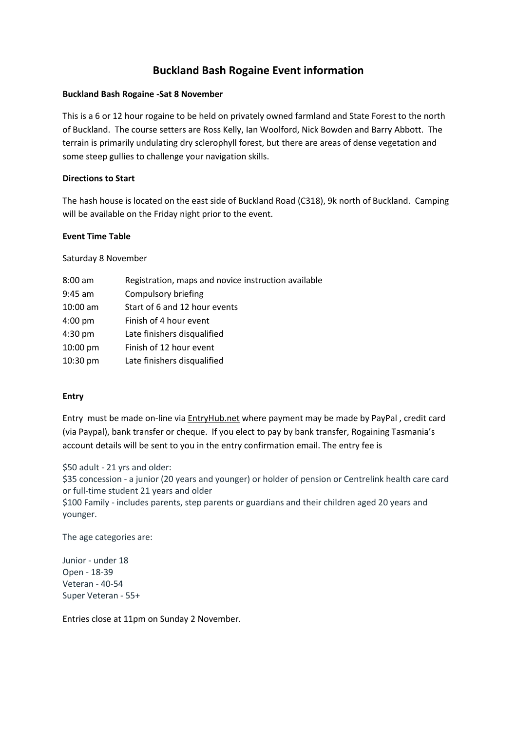# **Buckland Bash Rogaine Event information**

## **Buckland Bash Rogaine -Sat 8 November**

This is a 6 or 12 hour rogaine to be held on privately owned farmland and State Forest to the north of Buckland. The course setters are Ross Kelly, Ian Woolford, Nick Bowden and Barry Abbott. The terrain is primarily undulating dry sclerophyll forest, but there are areas of dense vegetation and some steep gullies to challenge your navigation skills.

## **Directions to Start**

The hash house is located on the east side of Buckland Road (C318), 9k north of Buckland. Camping will be available on the Friday night prior to the event.

#### **Event Time Table**

Saturday 8 November

| $8:00$ am         | Registration, maps and novice instruction available |
|-------------------|-----------------------------------------------------|
| $9:45$ am         | Compulsory briefing                                 |
| $10:00$ am        | Start of 6 and 12 hour events                       |
| $4:00 \text{ pm}$ | Finish of 4 hour event                              |
| $4:30$ pm         | Late finishers disqualified                         |
| 10:00 pm          | Finish of 12 hour event                             |
| $10:30$ pm        | Late finishers disqualified                         |

## **Entry**

Entry must be made on-line via EntryHub.net where payment may be made by PayPal , credit card (via Paypal), bank transfer or cheque. If you elect to pay by bank transfer, Rogaining Tasmania's account details will be sent to you in the entry confirmation email. The entry fee is

\$50 adult - 21 yrs and older:

\$35 concession - a junior (20 years and younger) or holder of pension or Centrelink health care card or full-time student 21 years and older

\$100 Family - includes parents, step parents or guardians and their children aged 20 years and younger.

The age categories are:

Junior - under 18 Open - 18-39 Veteran - 40-54 Super Veteran - 55+

Entries close at 11pm on Sunday 2 November.